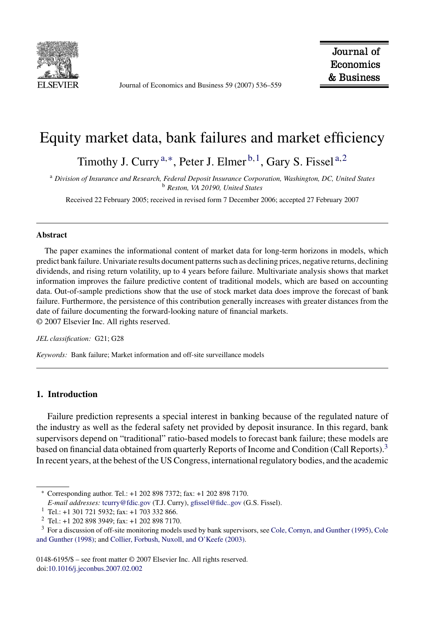

Journal of Economics and Business 59 (2007) 536–559

## Equity market data, bank failures and market efficiency

Timothy J. Curry  $a, *$ , Peter J. Elmer  $b, 1$ , Gary S. Fissel  $a, 2$ 

<sup>a</sup> *Division of Insurance and Research, Federal Deposit Insurance Corporation, Washington, DC, United States* <sup>b</sup> *Reston, VA 20190, United States*

Received 22 February 2005; received in revised form 7 December 2006; accepted 27 February 2007

## **Abstract**

The paper examines the informational content of market data for long-term horizons in models, which predict bank failure. Univariate results document patterns such as declining prices, negative returns, declining dividends, and rising return volatility, up to 4 years before failure. Multivariate analysis shows that market information improves the failure predictive content of traditional models, which are based on accounting data. Out-of-sample predictions show that the use of stock market data does improve the forecast of bank failure. Furthermore, the persistence of this contribution generally increases with greater distances from the date of failure documenting the forward-looking nature of financial markets. © 2007 Elsevier Inc. All rights reserved.

*JEL classification:* G21; G28

*Keywords:* Bank failure; Market information and off-site surveillance models

## **1. Introduction**

Failure prediction represents a special interest in banking because of the regulated nature of the industry as well as the federal safety net provided by deposit insurance. In this regard, bank supervisors depend on "traditional" ratio-based models to forecast bank failure; these models are based on financial data obtained from quarterly Reports of Income and Condition (Call Reports).<sup>3</sup> In recent years, at the behest of the US Congress, international regulatory bodies, and the academic

<sup>∗</sup> Corresponding author. Tel.: +1 202 898 7372; fax: +1 202 898 7170. *E-mail addresses:* [tcurry@fdic.gov](mailto:tcurry@fdic.gov) (T.J. Curry), [gfissel@fidc..gov](mailto:gfissel@fidc..gov) (G.S. Fissel).

<sup>1</sup> Tel.: +1 301 721 5932; fax: +1 703 332 866.

<sup>2</sup> Tel.: +1 202 898 3949; fax: +1 202 898 7170.

<sup>3</sup> For a discussion of off-site monitoring models used by bank supervisors, see [Cole, Cornyn, and Gunther \(1995\),](#page--1-0) [Cole](#page--1-0) [and Gunther \(1998\); a](#page--1-0)nd [Collier, Forbush, Nuxoll, and O'Keefe \(2003\).](#page--1-0)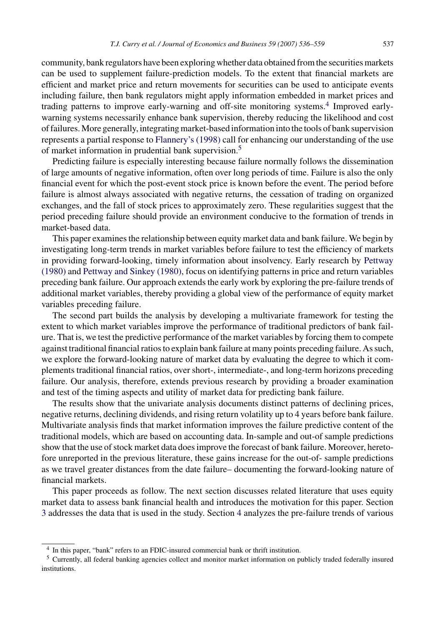community, bank regulators have been exploring whether data obtained from the securities markets can be used to supplement failure-prediction models. To the extent that financial markets are efficient and market price and return movements for securities can be used to anticipate events including failure, then bank regulators might apply information embedded in market prices and trading patterns to improve early-warning and off-site monitoring systems.<sup>4</sup> Improved earlywarning systems necessarily enhance bank supervision, thereby reducing the likelihood and cost of failures. More generally, integrating market-based information into the tools of bank supervision represents a partial response to [Flannery's \(1998\)](#page--1-0) call for enhancing our understanding of the use of market information in prudential bank supervision.<sup>5</sup>

Predicting failure is especially interesting because failure normally follows the dissemination of large amounts of negative information, often over long periods of time. Failure is also the only financial event for which the post-event stock price is known before the event. The period before failure is almost always associated with negative returns, the cessation of trading on organized exchanges, and the fall of stock prices to approximately zero. These regularities suggest that the period preceding failure should provide an environment conducive to the formation of trends in market-based data.

This paper examines the relationship between equity market data and bank failure. We begin by investigating long-term trends in market variables before failure to test the efficiency of markets in providing forward-looking, timely information about insolvency. Early research by [Pettway](#page--1-0) [\(1980\)](#page--1-0) and [Pettway and Sinkey \(1980\), f](#page--1-0)ocus on identifying patterns in price and return variables preceding bank failure. Our approach extends the early work by exploring the pre-failure trends of additional market variables, thereby providing a global view of the performance of equity market variables preceding failure.

The second part builds the analysis by developing a multivariate framework for testing the extent to which market variables improve the performance of traditional predictors of bank failure. That is, we test the predictive performance of the market variables by forcing them to compete against traditional financial ratios to explain bank failure at many points preceding failure. As such, we explore the forward-looking nature of market data by evaluating the degree to which it complements traditional financial ratios, over short-, intermediate-, and long-term horizons preceding failure. Our analysis, therefore, extends previous research by providing a broader examination and test of the timing aspects and utility of market data for predicting bank failure.

The results show that the univariate analysis documents distinct patterns of declining prices, negative returns, declining dividends, and rising return volatility up to 4 years before bank failure. Multivariate analysis finds that market information improves the failure predictive content of the traditional models, which are based on accounting data. In-sample and out-of sample predictions show that the use of stock market data does improve the forecast of bank failure. Moreover, heretofore unreported in the previous literature, these gains increase for the out-of- sample predictions as we travel greater distances from the date failure– documenting the forward-looking nature of financial markets.

This paper proceeds as follow. The next section discusses related literature that uses equity market data to assess bank financial health and introduces the motivation for this paper. Section [3](#page--1-0) addresses the data that is used in the study. Section [4](#page--1-0) analyzes the pre-failure trends of various

<sup>4</sup> In this paper, "bank" refers to an FDIC-insured commercial bank or thrift institution.

<sup>5</sup> Currently, all federal banking agencies collect and monitor market information on publicly traded federally insured institutions.